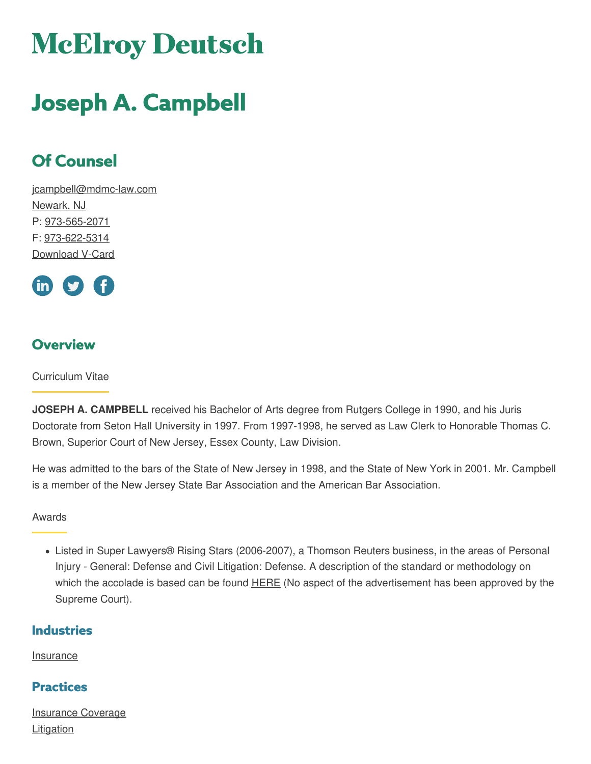# **McElroy Deutsch**

## **Joseph A. Campbell**

### **Of Counsel**

[jcampbell@mdmc-law.com](mailto:jcampbell@mdmc-law.com) [Newark,](https://www.mdmc-law.com/offices/newark) NJ P: [973-565-2071](tel:973-565-2071) F: [973-622-5314](tel:973-622-5314) [Download](https://www.mdmc-law.com/node/158/vcard) V-Card



#### **Overview**

Curriculum Vitae

**JOSEPH A. CAMPBELL** received his Bachelor of Arts degree from Rutgers College in 1990, and his Juris Doctorate from Seton Hall University in 1997. From 1997-1998, he served as Law Clerk to Honorable Thomas C. Brown, Superior Court of New Jersey, Essex County, Law Division.

He was admitted to the bars of the State of New Jersey in 1998, and the State of New York in 2001. Mr. Campbell is a member of the New Jersey State Bar Association and the American Bar Association.

Awards

Listed in Super Lawyers® Rising Stars (2006-2007), a Thomson Reuters business, in the areas of Personal Injury - General: Defense and Civil Litigation: Defense. A description of the standard or methodology on which the accolade is based can be found **[HERE](http://www.superlawyers.com/about/selection_process.html)** (No aspect of the advertisement has been approved by the Supreme Court).

#### **Industries**

**[Insurance](https://www.mdmc-law.com/industries/insurance)** 

#### **Practices**

[Insurance](https://www.mdmc-law.com/practices/insurance-coverage) Coverage **[Litigation](https://www.mdmc-law.com/practices/litigation)**